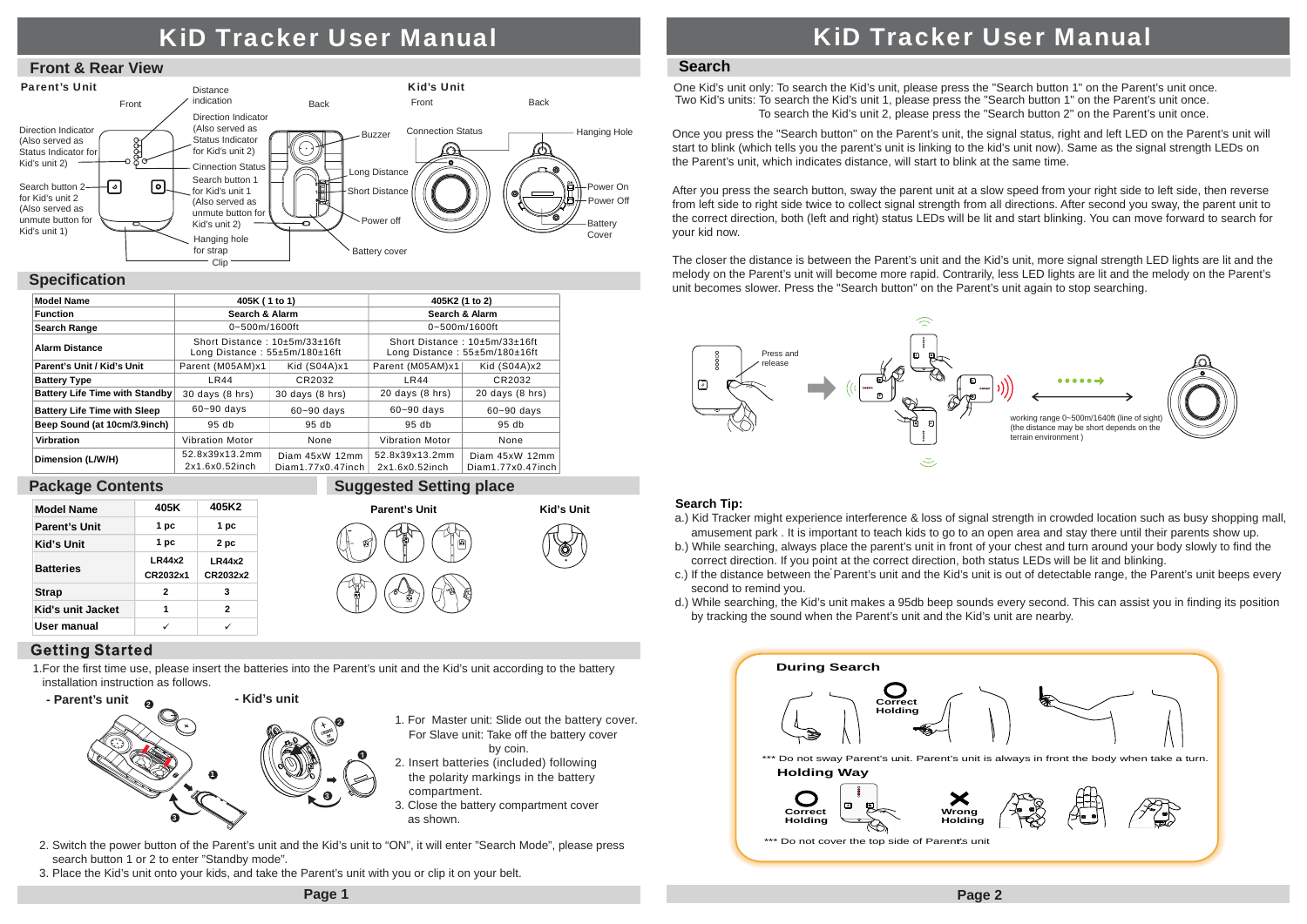# KiD Tracker User Manual





### **Specification**

| <b>Model Name</b>                     | 405K (1 to 1)                                                  |                                     | 405K2 (1 to 2)                                                 |                                     |
|---------------------------------------|----------------------------------------------------------------|-------------------------------------|----------------------------------------------------------------|-------------------------------------|
| <b>Function</b>                       | Search & Alarm                                                 |                                     | Search & Alarm                                                 |                                     |
| <b>Search Range</b>                   | $0 - 500$ m/1600ft                                             |                                     | 0~500m/1600ft                                                  |                                     |
| <b>Alarm Distance</b>                 | Short Distance: 10±5m/33±16ft<br>Long Distance: 55±5m/180±16ft |                                     | Short Distance: 10±5m/33±16ft<br>Long Distance: 55±5m/180±16ft |                                     |
| Parent's Unit / Kid's Unit            | Parent (M05AM)x1                                               | Kid (S04A)x1                        | Parent (M05AM)x1                                               | Kid (S04A)x2                        |
| <b>Battery Type</b>                   | <b>LR44</b>                                                    | CR2032                              | LR44                                                           | CR2032                              |
| <b>Battery Life Time with Standby</b> | $30$ days $(8$ hrs)                                            | 30 days (8 hrs)                     | $20$ days $(8$ hrs)                                            | $20$ days $(8$ hrs)                 |
| <b>Battery Life Time with Sleep</b>   | $60 - 90$ days                                                 | $60 - 90$ days                      | $60 - 90$ days                                                 | $60 - 90$ days                      |
| Beep Sound (at 10cm/3.9inch)          | 95 <sub>db</sub>                                               | 95 <sub>db</sub>                    | 95 <sub>db</sub>                                               | 95 <sub>db</sub>                    |
| Virbration                            | <b>Vibration Motor</b>                                         | None                                | <b>Vibration Motor</b>                                         | None                                |
| Dimension (L/W/H)                     | 52.8x39x13.2mm<br>2x1.6x0.52inch                               | Diam 45xW 12mm<br>Diam1.77x0.47inch | 52.8x39x13.2mm<br>2x1.6x0.52inch                               | Diam 45xW 12mm<br>Diam1.77x0.47inch |

#### **Package Contents**



**Suggested Setting place**

by coin.

#### **Getting Started**

1.For the first time use, please insert the batteries into the Parent's unit and the Kid's unit according to the battery installation instruction as follows.



- 2. Switch the power button of the Parent's unit and the Kid's unit to "ON", it will enter "Search Mode", please press search button 1 or 2 to enter "Standby mode".
- 3. Place the Kid's unit onto your kids, and take the Parent's unit with you or clip it on your belt.

# KiD Tracker User Manual

### **Search**

One Kid's unit only: To search the Kid's unit, please press the "Search button 1" on the Parent's unit once. Two Kid's units: To search the Kid's unit 1, please press the "Search button 1" on the Parent's unit once. To search the Kid's unit 2, please press the "Search button 2" on the Parent's unit once.

Once you press the "Search button" on the Parent's unit, the signal status, right and left LED on the Parent's unit will start to blink (which tells you the parent's unit is linking to the kid's unit now). Same as the signal strength LEDs on the Parent's unit, which indicates distance, will start to blink at the same time.

After you press the search button, sway the parent unit at a slow speed from your right side to left side, then reverse from left side to right side twice to collect signal strength from all directions. After second you sway, the parent unit to the correct direction, both (left and right) status LEDs will be lit and start blinking. You can move forward to search for your kid now.

The closer the distance is between the Parent's unit and the Kid's unit, more signal strength LED lights are lit and the melody on the Parent's unit will become more rapid. Contrarily, less LED lights are lit and the melody on the Parent's unit becomes slower. Press the "Search button" on the Parent's unit again to stop searching.



#### **Search Tip:**

- a.) Kid Tracker might experience interference & loss of signal strength in crowded location such as busy shopping mall, amusement park . It is important to teach kids to go to an open area and stay there until their parents show up.
- b.) While searching, always place the parent's unit in front of your chest and turn around your body slowly to find the correct direction. If you point at the correct direction, both status LEDs will be lit and blinking.
- c.) If the distance between the Parent's unit and the Kid's unit is out of detectable range, the Parent's unit beeps every second to remind you.
- d.) While searching, the Kid's unit makes a 95db beep sounds every second. This can assist you in finding its position by tracking the sound when the Parent's unit and the Kid's unit are nearby.